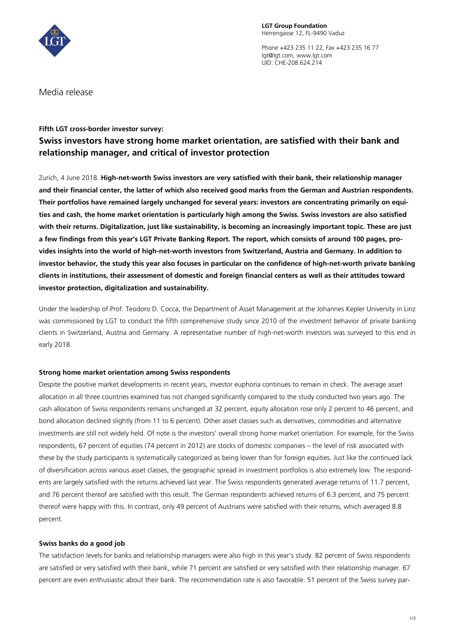

Phone +423 235 11 22, Fax +423 235 16 77 lgt@lgt.com, www.lgt.com UID: CHE-208.624.214

Media release

## **Fifth LGT cross-border investor survey:**

# **Swiss investors have strong home market orientation, are satisfied with their bank and relationship manager, and critical of investor protection**

Zurich, 4 June 2018. **High-net-worth Swiss investors are very satisfied with their bank, their relationship manager and their financial center, the latter of which also received good marks from the German and Austrian respondents. Their portfolios have remained largely unchanged for several years: investors are concentrating primarily on equities and cash, the home market orientation is particularly high among the Swiss. Swiss investors are also satisfied with their returns. Digitalization, just like sustainability, is becoming an increasingly important topic. These are just a few findings from this year's LGT Private Banking Report. The report, which consists of around 100 pages, provides insights into the world of high-net-worth investors from Switzerland, Austria and Germany. In addition to investor behavior, the study this year also focuses in particular on the confidence of high-net-worth private banking clients in institutions, their assessment of domestic and foreign financial centers as well as their attitudes toward investor protection, digitalization and sustainability.**

Under the leadership of Prof. Teodoro D. Cocca, the Department of Asset Management at the Johannes Kepler University in Linz was commissioned by LGT to conduct the fifth comprehensive study since 2010 of the investment behavior of private banking clients in Switzerland, Austria and Germany. A representative number of high-net-worth investors was surveyed to this end in early 2018.

## **Strong home market orientation among Swiss respondents**

Despite the positive market developments in recent years, investor euphoria continues to remain in check. The average asset allocation in all three countries examined has not changed significantly compared to the study conducted two years ago. The cash allocation of Swiss respondents remains unchanged at 32 percent, equity allocation rose only 2 percent to 46 percent, and bond allocation declined slightly (from 11 to 6 percent). Other asset classes such as derivatives, commodities and alternative investments are still not widely held. Of note is the investors' overall strong home market orientation. For example, for the Swiss respondents, 67 percent of equities (74 percent in 2012) are stocks of domestic companies – the level of risk associated with these by the study participants is systematically categorized as being lower than for foreign equities. Just like the continued lack of diversification across various asset classes, the geographic spread in investment portfolios is also extremely low. The respondents are largely satisfied with the returns achieved last year. The Swiss respondents generated average returns of 11.7 percent, and 76 percent thereof are satisfied with this result. The German respondents achieved returns of 6.3 percent, and 75 percent thereof were happy with this. In contrast, only 49 percent of Austrians were satisfied with their returns, which averaged 8.8 percent.

## **Swiss banks do a good job**

The satisfaction levels for banks and relationship managers were also high in this year's study. 82 percent of Swiss respondents are satisfied or very satisfied with their bank, while 71 percent are satisfied or very satisfied with their relationship manager. 67 percent are even enthusiastic about their bank. The recommendation rate is also favorable. 51 percent of the Swiss survey par-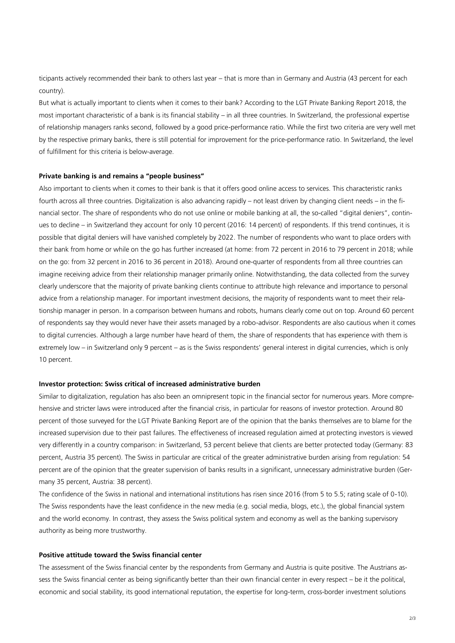ticipants actively recommended their bank to others last year – that is more than in Germany and Austria (43 percent for each country).

But what is actually important to clients when it comes to their bank? According to the LGT Private Banking Report 2018, the most important characteristic of a bank is its financial stability – in all three countries. In Switzerland, the professional expertise of relationship managers ranks second, followed by a good price-performance ratio. While the first two criteria are very well met by the respective primary banks, there is still potential for improvement for the price-performance ratio. In Switzerland, the level of fulfillment for this criteria is below-average.

#### **Private banking is and remains a "people business"**

Also important to clients when it comes to their bank is that it offers good online access to services. This characteristic ranks fourth across all three countries. Digitalization is also advancing rapidly – not least driven by changing client needs – in the financial sector. The share of respondents who do not use online or mobile banking at all, the so-called "digital deniers", continues to decline – in Switzerland they account for only 10 percent (2016: 14 percent) of respondents. If this trend continues, it is possible that digital deniers will have vanished completely by 2022. The number of respondents who want to place orders with their bank from home or while on the go has further increased (at home: from 72 percent in 2016 to 79 percent in 2018; while on the go: from 32 percent in 2016 to 36 percent in 2018). Around one-quarter of respondents from all three countries can imagine receiving advice from their relationship manager primarily online. Notwithstanding, the data collected from the survey clearly underscore that the majority of private banking clients continue to attribute high relevance and importance to personal advice from a relationship manager. For important investment decisions, the majority of respondents want to meet their relationship manager in person. In a comparison between humans and robots, humans clearly come out on top. Around 60 percent of respondents say they would never have their assets managed by a robo-advisor. Respondents are also cautious when it comes to digital currencies. Although a large number have heard of them, the share of respondents that has experience with them is extremely low – in Switzerland only 9 percent – as is the Swiss respondents' general interest in digital currencies, which is only 10 percent.

#### **Investor protection: Swiss critical of increased administrative burden**

Similar to digitalization, regulation has also been an omnipresent topic in the financial sector for numerous years. More comprehensive and stricter laws were introduced after the financial crisis, in particular for reasons of investor protection. Around 80 percent of those surveyed for the LGT Private Banking Report are of the opinion that the banks themselves are to blame for the increased supervision due to their past failures. The effectiveness of increased regulation aimed at protecting investors is viewed very differently in a country comparison: in Switzerland, 53 percent believe that clients are better protected today (Germany: 83 percent, Austria 35 percent). The Swiss in particular are critical of the greater administrative burden arising from regulation: 54 percent are of the opinion that the greater supervision of banks results in a significant, unnecessary administrative burden (Germany 35 percent, Austria: 38 percent).

The confidence of the Swiss in national and international institutions has risen since 2016 (from 5 to 5.5; rating scale of 0-10). The Swiss respondents have the least confidence in the new media (e.g. social media, blogs, etc.), the global financial system and the world economy. In contrast, they assess the Swiss political system and economy as well as the banking supervisory authority as being more trustworthy.

### **Positive attitude toward the Swiss financial center**

The assessment of the Swiss financial center by the respondents from Germany and Austria is quite positive. The Austrians assess the Swiss financial center as being significantly better than their own financial center in every respect – be it the political, economic and social stability, its good international reputation, the expertise for long-term, cross-border investment solutions